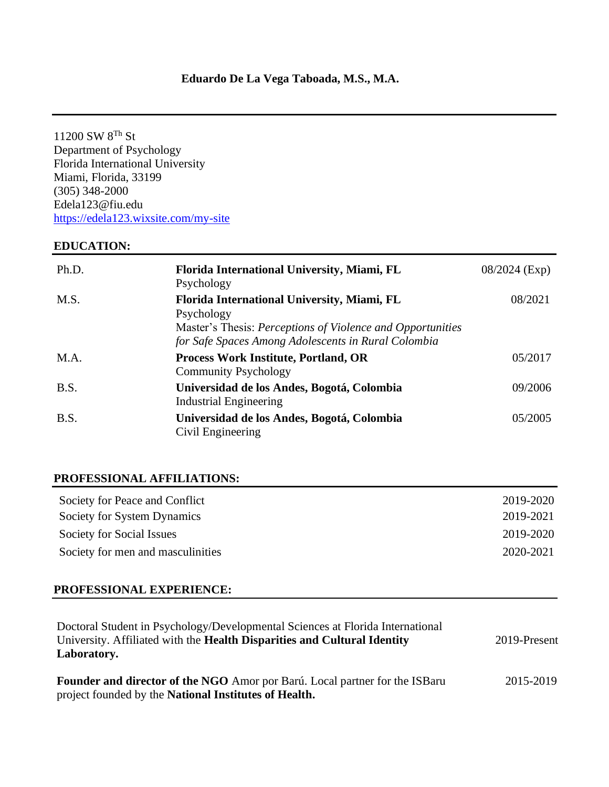11200 SW 8Th St Department of Psychology Florida International University Miami, Florida, 33199 (305) 348-2000 Edela123@fiu.edu [https://edela123.wixsite.com/my-site](/Users/edelavega/Desktop/Courses_semester/Summer2021/Edela123@fiu.edu%20%20https:/edela123.wixsite.com/my-site)

## **EDUCATION:**

| Ph.D. | Florida International University, Miami, FL<br>Psychology                                                                                                                      | $08/2024$ (Exp) |
|-------|--------------------------------------------------------------------------------------------------------------------------------------------------------------------------------|-----------------|
| M.S.  | Florida International University, Miami, FL<br>Psychology<br>Master's Thesis: Perceptions of Violence and Opportunities<br>for Safe Spaces Among Adolescents in Rural Colombia | 08/2021         |
| M.A.  | <b>Process Work Institute, Portland, OR</b><br><b>Community Psychology</b>                                                                                                     | 05/2017         |
| B.S.  | Universidad de los Andes, Bogotá, Colombia<br><b>Industrial Engineering</b>                                                                                                    | 09/2006         |
| B.S.  | Universidad de los Andes, Bogotá, Colombia<br>Civil Engineering                                                                                                                | 05/2005         |

## **PROFESSIONAL AFFILIATIONS:**

| Society for Peace and Conflict    | 2019-2020 |
|-----------------------------------|-----------|
| Society for System Dynamics       | 2019-2021 |
| Society for Social Issues         | 2019-2020 |
| Society for men and masculinities | 2020-2021 |

## **PROFESSIONAL EXPERIENCE:**

| Doctoral Student in Psychology/Developmental Sciences at Florida International<br>University. Affiliated with the <b>Health Disparities and Cultural Identity</b><br>Laboratory. | 2019-Present |
|----------------------------------------------------------------------------------------------------------------------------------------------------------------------------------|--------------|
| <b>Founder and director of the NGO</b> Amor por Barú. Local partner for the ISBaru<br>project founded by the <b>National Institutes of Health.</b>                               | 2015-2019    |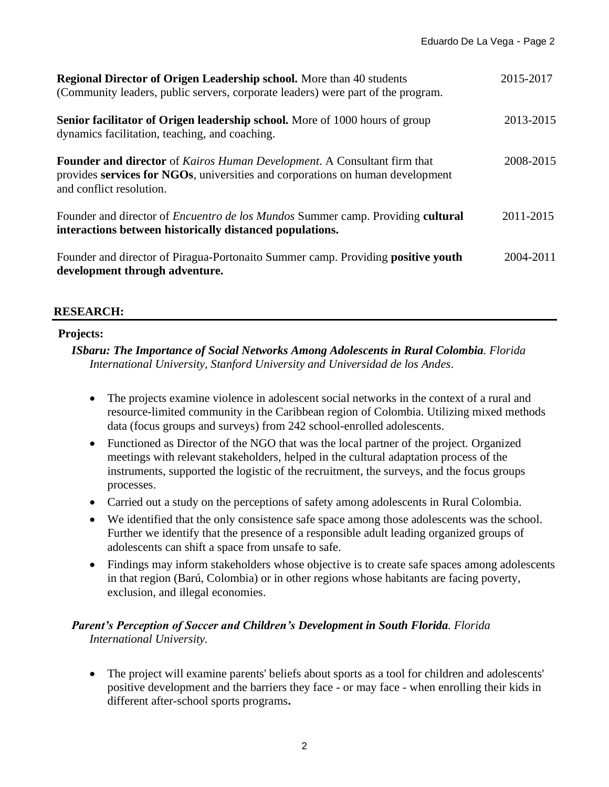| <b>Regional Director of Origen Leadership school.</b> More than 40 students<br>(Community leaders, public servers, corporate leaders) were part of the program.                        | 2015-2017 |
|----------------------------------------------------------------------------------------------------------------------------------------------------------------------------------------|-----------|
| <b>Senior facilitator of Origen leadership school.</b> More of 1000 hours of group<br>dynamics facilitation, teaching, and coaching.                                                   | 2013-2015 |
| Founder and director of Kairos Human Development. A Consultant firm that<br>provides services for NGOs, universities and corporations on human development<br>and conflict resolution. | 2008-2015 |
| Founder and director of <i>Encuentro de los Mundos</i> Summer camp. Providing cultural<br>interactions between historically distanced populations.                                     | 2011-2015 |
| Founder and director of Piragua-Portonaito Summer camp. Providing positive youth<br>development through adventure.                                                                     | 2004-2011 |

# **RESEARCH:**

# **Projects:**

*ISbaru: The Importance of Social Networks Among Adolescents in Rural Colombia. Florida International University, Stanford University and Universidad de los Andes.*

- The projects examine violence in adolescent social networks in the context of a rural and resource-limited community in the Caribbean region of Colombia. Utilizing mixed methods data (focus groups and surveys) from 242 school-enrolled adolescents.
- Functioned as Director of the NGO that was the local partner of the project. Organized meetings with relevant stakeholders, helped in the cultural adaptation process of the instruments, supported the logistic of the recruitment, the surveys, and the focus groups processes.
- Carried out a study on the perceptions of safety among adolescents in Rural Colombia.
- We identified that the only consistence safe space among those adolescents was the school. Further we identify that the presence of a responsible adult leading organized groups of adolescents can shift a space from unsafe to safe.
- Findings may inform stakeholders whose objective is to create safe spaces among adolescents in that region (Barú, Colombia) or in other regions whose habitants are facing poverty, exclusion, and illegal economies.

## *Parent's Perception of Soccer and Children's Development in South Florida. Florida International University.*

• The project will examine parents' beliefs about sports as a tool for children and adolescents' positive development and the barriers they face - or may face - when enrolling their kids in different after-school sports programs**.**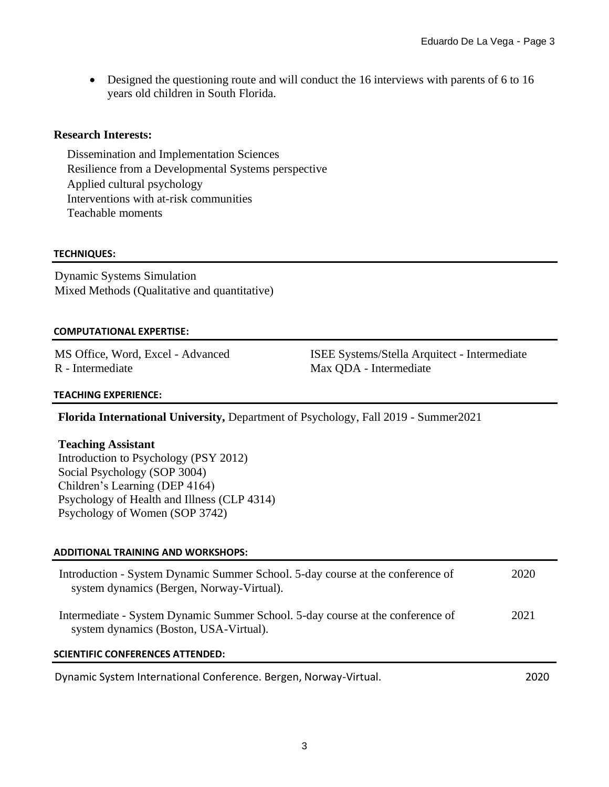• Designed the questioning route and will conduct the 16 interviews with parents of 6 to 16 years old children in South Florida.

## **Research Interests:**

Dissemination and Implementation Sciences Resilience from a Developmental Systems perspective Applied cultural psychology Interventions with at-risk communities Teachable moments

## **TECHNIQUES:**

Dynamic Systems Simulation Mixed Methods (Qualitative and quantitative)

## **COMPUTATIONAL EXPERTISE:**

MS Office, Word, Excel - Advanced R - Intermediate

ISEE Systems/Stella Arquitect - Intermediate Max QDA - Intermediate

## **TEACHING EXPERIENCE:**

**Florida International University,** Department of Psychology, Fall 2019 - Summer2021

## **Teaching Assistant**

Introduction to Psychology (PSY 2012) Social Psychology (SOP 3004) Children's Learning (DEP 4164) Psychology of Health and Illness (CLP 4314) Psychology of Women (SOP 3742)

## **ADDITIONAL TRAINING AND WORKSHOPS:**

| Introduction - System Dynamic Summer School. 5-day course at the conference of<br>system dynamics (Bergen, Norway-Virtual). | 2020  |
|-----------------------------------------------------------------------------------------------------------------------------|-------|
| Intermediate - System Dynamic Summer School. 5-day course at the conference of<br>system dynamics (Boston, USA-Virtual).    | 2021  |
| <b>SCIENTIFIC CONFERENCES ATTENDED:</b>                                                                                     |       |
| Dynamic System International Conference. Bergen, Norway-Virtual.                                                            | 2020. |